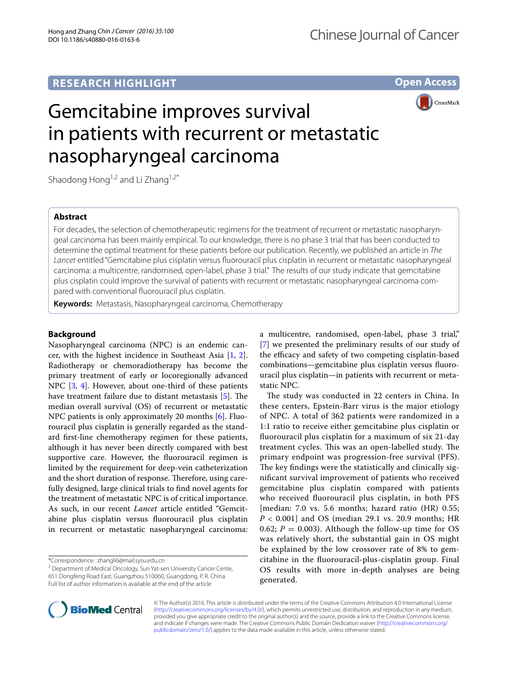**Open Access**



# Gemcitabine improves survival in patients with recurrent or metastatic nasopharyngeal carcinoma

Shaodong Hong<sup>1,2</sup> and Li Zhang<sup>1,2\*</sup>

# **Abstract**

For decades, the selection of chemotherapeutic regimens for the treatment of recurrent or metastatic nasopharyngeal carcinoma has been mainly empirical. To our knowledge, there is no phase 3 trial that has been conducted to determine the optimal treatment for these patients before our publication. Recently, we published an article in *The Lancet* entitled "Gemcitabine plus cisplatin versus fluorouracil plus cisplatin in recurrent or metastatic nasopharyngeal carcinoma: a multicentre, randomised, open-label, phase 3 trial." The results of our study indicate that gemcitabine plus cisplatin could improve the survival of patients with recurrent or metastatic nasopharyngeal carcinoma compared with conventional fluorouracil plus cisplatin.

**Keywords:** Metastasis, Nasopharyngeal carcinoma, Chemotherapy

# **Background**

Nasopharyngeal carcinoma (NPC) is an endemic cancer, with the highest incidence in Southeast Asia [\[1](#page-1-0), [2](#page-1-1)]. Radiotherapy or chemoradiotherapy has become the primary treatment of early or locoregionally advanced NPC [[3,](#page-1-2) [4](#page-1-3)]. However, about one-third of these patients have treatment failure due to distant metastasis [[5\]](#page-1-4). The median overall survival (OS) of recurrent or metastatic NPC patients is only approximately 20 months [[6](#page-1-5)]. Fluorouracil plus cisplatin is generally regarded as the standard first-line chemotherapy regimen for these patients, although it has never been directly compared with best supportive care. However, the fluorouracil regimen is limited by the requirement for deep-vein catheterization and the short duration of response. Therefore, using carefully designed, large clinical trials to find novel agents for the treatment of metastatic NPC is of critical importance. As such, in our recent *Lancet* article entitled "Gemcitabine plus cisplatin versus fluorouracil plus cisplatin in recurrent or metastatic nasopharyngeal carcinoma:

\*Correspondence: zhangli6@mail.sysu.edu.cn

<sup>2</sup> Department of Medical Oncology, Sun Yat-sen University Cancer Cente, 651 Dongfeng Road East, Guangzhou 510060, Guangdong, P. R. China Full list of author information is available at the end of the article

a multicentre, randomised, open-label, phase 3 trial," [[7\]](#page-1-6) we presented the preliminary results of our study of the efficacy and safety of two competing cisplatin-based combinations—gemcitabine plus cisplatin versus fluorouracil plus cisplatin—in patients with recurrent or metastatic NPC.

The study was conducted in 22 centers in China. In these centers, Epstein-Barr virus is the major etiology of NPC. A total of 362 patients were randomized in a 1:1 ratio to receive either gemcitabine plus cisplatin or fluorouracil plus cisplatin for a maximum of six 21-day treatment cycles. This was an open-labelled study. The primary endpoint was progression-free survival (PFS). The key findings were the statistically and clinically significant survival improvement of patients who received gemcitabine plus cisplatin compared with patients who received fluorouracil plus cisplatin, in both PFS [median: 7.0 vs. 5.6 months; hazard ratio (HR) 0.55; *P* < 0.001] and OS (median 29.1 vs. 20.9 months; HR 0.62;  $P = 0.003$ ). Although the follow-up time for OS was relatively short, the substantial gain in OS might be explained by the low crossover rate of 8% to gemcitabine in the fluorouracil-plus-cisplatin group. Final OS results with more in-depth analyses are being generated.



© The Author(s) 2016. This article is distributed under the terms of the Creative Commons Attribution 4.0 International License [\(http://creativecommons.org/licenses/by/4.0/\)](http://creativecommons.org/licenses/by/4.0/), which permits unrestricted use, distribution, and reproduction in any medium, provided you give appropriate credit to the original author(s) and the source, provide a link to the Creative Commons license, and indicate if changes were made. The Creative Commons Public Domain Dedication waiver ([http://creativecommons.org/](http://creativecommons.org/publicdomain/zero/1.0/) [publicdomain/zero/1.0/](http://creativecommons.org/publicdomain/zero/1.0/)) applies to the data made available in this article, unless otherwise stated.